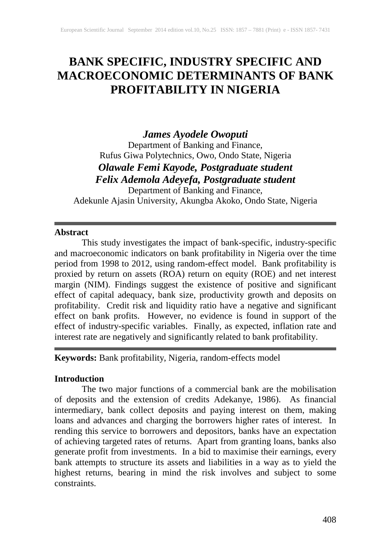# **BANK SPECIFIC, INDUSTRY SPECIFIC AND MACROECONOMIC DETERMINANTS OF BANK PROFITABILITY IN NIGERIA**

## *James Ayodele Owoputi*

Department of Banking and Finance, Rufus Giwa Polytechnics, Owo, Ondo State, Nigeria *Olawale Femi Kayode, Postgraduate student Felix Ademola Adeyefa, Postgraduate student*

Department of Banking and Finance, Adekunle Ajasin University, Akungba Akoko, Ondo State, Nigeria

## **Abstract**

This study investigates the impact of bank-specific, industry-specific and macroeconomic indicators on bank profitability in Nigeria over the time period from 1998 to 2012, using random-effect model. Bank profitability is proxied by return on assets (ROA) return on equity (ROE) and net interest margin (NIM). Findings suggest the existence of positive and significant effect of capital adequacy, bank size, productivity growth and deposits on profitability. Credit risk and liquidity ratio have a negative and significant effect on bank profits. However, no evidence is found in support of the effect of industry-specific variables. Finally, as expected, inflation rate and interest rate are negatively and significantly related to bank profitability.

## **Keywords:** Bank profitability, Nigeria, random-effects model

## **Introduction**

The two major functions of a commercial bank are the mobilisation of deposits and the extension of credits Adekanye, 1986). As financial intermediary, bank collect deposits and paying interest on them, making loans and advances and charging the borrowers higher rates of interest. In rending this service to borrowers and depositors, banks have an expectation of achieving targeted rates of returns. Apart from granting loans, banks also generate profit from investments. In a bid to maximise their earnings, every bank attempts to structure its assets and liabilities in a way as to yield the highest returns, bearing in mind the risk involves and subject to some constraints.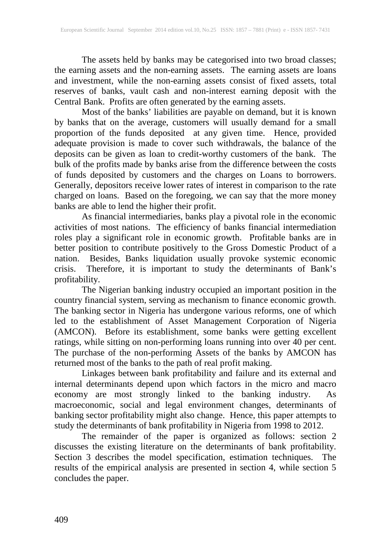The assets held by banks may be categorised into two broad classes; the earning assets and the non-earning assets. The earning assets are loans and investment, while the non-earning assets consist of fixed assets, total reserves of banks, vault cash and non-interest earning deposit with the Central Bank. Profits are often generated by the earning assets.

Most of the banks' liabilities are payable on demand, but it is known by banks that on the average, customers will usually demand for a small proportion of the funds deposited at any given time. Hence, provided adequate provision is made to cover such withdrawals, the balance of the deposits can be given as loan to credit-worthy customers of the bank. The bulk of the profits made by banks arise from the difference between the costs of funds deposited by customers and the charges on Loans to borrowers. Generally, depositors receive lower rates of interest in comparison to the rate charged on loans. Based on the foregoing, we can say that the more money banks are able to lend the higher their profit.

As financial intermediaries, banks play a pivotal role in the economic activities of most nations. The efficiency of banks financial intermediation roles play a significant role in economic growth. Profitable banks are in better position to contribute positively to the Gross Domestic Product of a nation. Besides, Banks liquidation usually provoke systemic economic crisis. Therefore, it is important to study the determinants of Bank's profitability.

The Nigerian banking industry occupied an important position in the country financial system, serving as mechanism to finance economic growth. The banking sector in Nigeria has undergone various reforms, one of which led to the establishment of Asset Management Corporation of Nigeria (AMCON). Before its establishment, some banks were getting excellent ratings, while sitting on non-performing loans running into over 40 per cent. The purchase of the non-performing Assets of the banks by AMCON has returned most of the banks to the path of real profit making.

Linkages between bank profitability and failure and its external and internal determinants depend upon which factors in the micro and macro economy are most strongly linked to the banking industry. As macroeconomic, social and legal environment changes, determinants of banking sector profitability might also change. Hence, this paper attempts to study the determinants of bank profitability in Nigeria from 1998 to 2012.

The remainder of the paper is organized as follows: section 2 discusses the existing literature on the determinants of bank profitability. Section 3 describes the model specification, estimation techniques. The results of the empirical analysis are presented in section 4, while section 5 concludes the paper.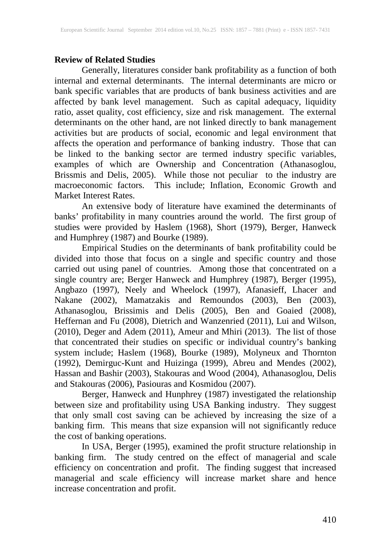## **Review of Related Studies**

Generally, literatures consider bank profitability as a function of both internal and external determinants. The internal determinants are micro or bank specific variables that are products of bank business activities and are affected by bank level management. Such as capital adequacy, liquidity ratio, asset quality, cost efficiency, size and risk management. The external determinants on the other hand, are not linked directly to bank management activities but are products of social, economic and legal environment that affects the operation and performance of banking industry. Those that can be linked to the banking sector are termed industry specific variables, examples of which are Ownership and Concentration (Athanasoglou, Brissmis and Delis, 2005). While those not peculiar to the industry are macroeconomic factors. This include; Inflation, Economic Growth and Market Interest Rates.

An extensive body of literature have examined the determinants of banks' profitability in many countries around the world. The first group of studies were provided by Haslem (1968), Short (1979), Berger, Hanweck and Humphrey (1987) and Bourke (1989).

Empirical Studies on the determinants of bank profitability could be divided into those that focus on a single and specific country and those carried out using panel of countries. Among those that concentrated on a single country are; Berger Hanweck and Humphrey (1987), Berger (1995), Angbazo (1997), Neely and Wheelock (1997), Afanasieff, Lhacer and Nakane (2002), Mamatzakis and Remoundos (2003), Ben (2003), Athanasoglou, Brissimis and Delis (2005), Ben and Goaied (2008), Heffernan and Fu (2008), Dietrich and Wanzenried (2011), Lui and Wilson, (2010), Deger and Adem (2011), Ameur and Mhiri (2013). The list of those that concentrated their studies on specific or individual country's banking system include; Haslem (1968), Bourke (1989), Molyneux and Thornton (1992), Demirguc-Kunt and Huizinga (1999), Abreu and Mendes (2002), Hassan and Bashir (2003), Stakouras and Wood (2004), Athanasoglou, Delis and Stakouras (2006), Pasiouras and Kosmidou (2007).

Berger, Hanweck and Hunphrey (1987) investigated the relationship between size and profitability using USA Banking industry. They suggest that only small cost saving can be achieved by increasing the size of a banking firm. This means that size expansion will not significantly reduce the cost of banking operations.

In USA, Berger (1995), examined the profit structure relationship in banking firm. The study centred on the effect of managerial and scale efficiency on concentration and profit. The finding suggest that increased managerial and scale efficiency will increase market share and hence increase concentration and profit.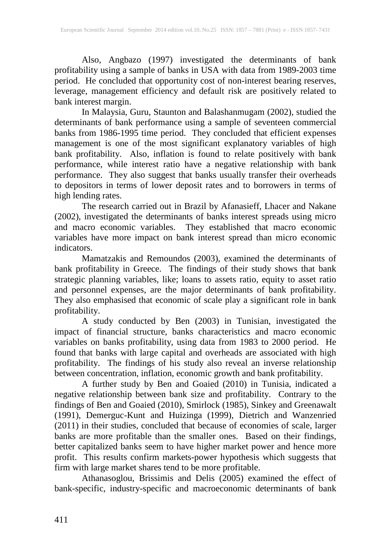Also, Angbazo (1997) investigated the determinants of bank profitability using a sample of banks in USA with data from 1989-2003 time period. He concluded that opportunity cost of non-interest bearing reserves, leverage, management efficiency and default risk are positively related to bank interest margin.

In Malaysia, Guru, Staunton and Balashanmugam (2002), studied the determinants of bank performance using a sample of seventeen commercial banks from 1986-1995 time period. They concluded that efficient expenses management is one of the most significant explanatory variables of high bank profitability. Also, inflation is found to relate positively with bank performance, while interest ratio have a negative relationship with bank performance. They also suggest that banks usually transfer their overheads to depositors in terms of lower deposit rates and to borrowers in terms of high lending rates.

The research carried out in Brazil by Afanasieff, Lhacer and Nakane (2002), investigated the determinants of banks interest spreads using micro and macro economic variables. They established that macro economic variables have more impact on bank interest spread than micro economic indicators.

Mamatzakis and Remoundos (2003), examined the determinants of bank profitability in Greece. The findings of their study shows that bank strategic planning variables, like; loans to assets ratio, equity to asset ratio and personnel expenses, are the major determinants of bank profitability. They also emphasised that economic of scale play a significant role in bank profitability.

A study conducted by Ben (2003) in Tunisian, investigated the impact of financial structure, banks characteristics and macro economic variables on banks profitability, using data from 1983 to 2000 period. He found that banks with large capital and overheads are associated with high profitability. The findings of his study also reveal an inverse relationship between concentration, inflation, economic growth and bank profitability.

A further study by Ben and Goaied (2010) in Tunisia, indicated a negative relationship between bank size and profitability. Contrary to the findings of Ben and Goaied (2010), Smirlock (1985), Sinkey and Greenawalt (1991), Demerguc-Kunt and Huizinga (1999), Dietrich and Wanzenried (2011) in their studies, concluded that because of economies of scale, larger banks are more profitable than the smaller ones. Based on their findings, better capitalized banks seem to have higher market power and hence more profit. This results confirm markets-power hypothesis which suggests that firm with large market shares tend to be more profitable.

Athanasoglou, Brissimis and Delis (2005) examined the effect of bank-specific, industry-specific and macroeconomic determinants of bank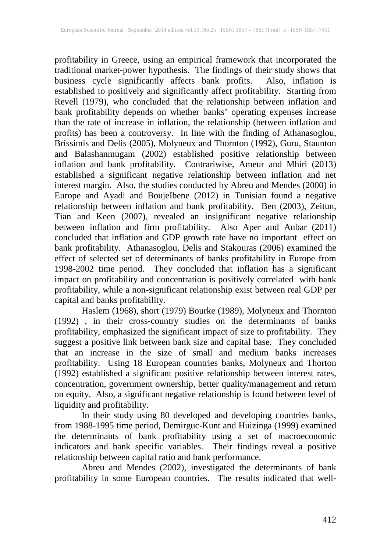profitability in Greece, using an empirical framework that incorporated the traditional market-power hypothesis. The findings of their study shows that business cycle significantly affects bank profits. Also, inflation is established to positively and significantly affect profitability. Starting from Revell (1979), who concluded that the relationship between inflation and bank profitability depends on whether banks' operating expenses increase than the rate of increase in inflation, the relationship (between inflation and profits) has been a controversy. In line with the finding of Athanasoglou, Brissimis and Delis (2005), Molyneux and Thornton (1992), Guru, Staunton and Balashanmugam (2002) established positive relationship between inflation and bank profitability. Contrariwise, Ameur and Mhiri (2013) established a significant negative relationship between inflation and net interest margin. Also, the studies conducted by Abreu and Mendes (2000) in Europe and Ayadi and BoujeIbene (2012) in Tunisian found a negative relationship between inflation and bank profitability. Ben (2003), Zeitun, Tian and Keen (2007), revealed an insignificant negative relationship between inflation and firm profitability. Also Aper and Anbar (2011) concluded that inflation and GDP growth rate have no important effect on bank profitability. Athanasoglou, Delis and Stakouras (2006) examined the effect of selected set of determinants of banks profitability in Europe from 1998-2002 time period. They concluded that inflation has a significant impact on profitability and concentration is positively correlated with bank profitability, while a non-significant relationship exist between real GDP per capital and banks profitability.

Haslem (1968), short (1979) Bourke (1989), Molyneux and Thornton (1992) , in their cross-country studies on the determinants of banks profitability, emphasized the significant impact of size to profitability. They suggest a positive link between bank size and capital base. They concluded that an increase in the size of small and medium banks increases profitability. Using 18 European countries banks, Molyneux and Thorton (1992) established a significant positive relationship between interest rates, concentration, government ownership, better quality/management and return on equity. Also, a significant negative relationship is found between level of liquidity and profitability.

In their study using 80 developed and developing countries banks, from 1988-1995 time period, Demirguc-Kunt and Huizinga (1999) examined the determinants of bank profitability using a set of macroeconomic indicators and bank specific variables. Their findings reveal a positive relationship between capital ratio and bank performance.

Abreu and Mendes (2002), investigated the determinants of bank profitability in some European countries. The results indicated that well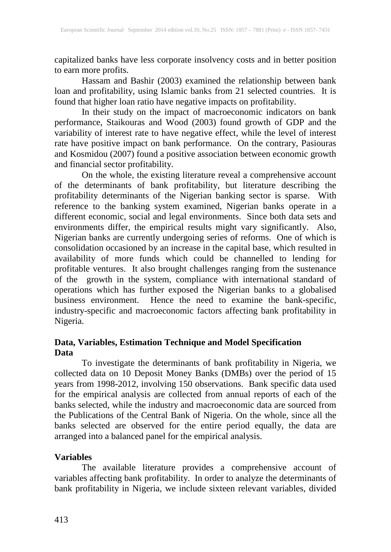capitalized banks have less corporate insolvency costs and in better position to earn more profits.

Hassam and Bashir (2003) examined the relationship between bank loan and profitability, using Islamic banks from 21 selected countries. It is found that higher loan ratio have negative impacts on profitability.

In their study on the impact of macroeconomic indicators on bank performance, Staikouras and Wood (2003) found growth of GDP and the variability of interest rate to have negative effect, while the level of interest rate have positive impact on bank performance. On the contrary, Pasiouras and Kosmidou (2007) found a positive association between economic growth and financial sector profitability.

On the whole, the existing literature reveal a comprehensive account of the determinants of bank profitability, but literature describing the profitability determinants of the Nigerian banking sector is sparse. With reference to the banking system examined, Nigerian banks operate in a different economic, social and legal environments. Since both data sets and environments differ, the empirical results might vary significantly. Also, Nigerian banks are currently undergoing series of reforms. One of which is consolidation occasioned by an increase in the capital base, which resulted in availability of more funds which could be channelled to lending for profitable ventures. It also brought challenges ranging from the sustenance profitable ventures. It also brought challenges ranging from the sustenance of the growth in the system, compliance with international standard of operations which has further exposed the Nigerian banks to a globalised business environment. Hence the need to examine the bank-specific, industry-specific and macroeconomic factors affecting bank profitability in Nigeria.

## **Data, Variables, Estimation Technique and Model Specification Data**

To investigate the determinants of bank profitability in Nigeria, we collected data on 10 Deposit Money Banks (DMBs) over the period of 15 years from 1998-2012, involving 150 observations. Bank specific data used for the empirical analysis are collected from annual reports of each of the banks selected, while the industry and macroeconomic data are sourced from the Publications of the Central Bank of Nigeria. On the whole, since all the banks selected are observed for the entire period equally, the data are arranged into a balanced panel for the empirical analysis.

## **Variables**

The available literature provides a comprehensive account of variables affecting bank profitability. In order to analyze the determinants of bank profitability in Nigeria, we include sixteen relevant variables, divided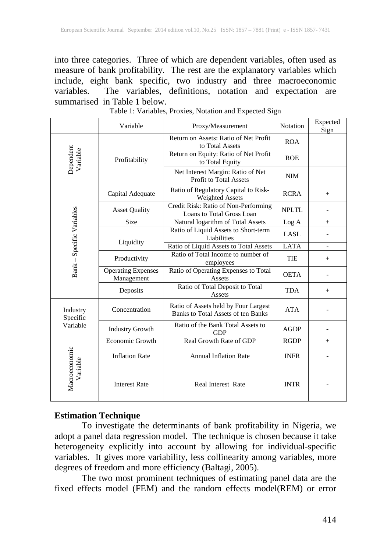into three categories. Three of which are dependent variables, often used as measure of bank profitability. The rest are the explanatory variables which include, eight bank specific, two industry and three macroeconomic variables. The variables, definitions, notation and expectation are summarised in Table 1 below.

|                                  | Variable                                | Proxy/Measurement                                                          | Notation     | Expected<br>Sign |
|----------------------------------|-----------------------------------------|----------------------------------------------------------------------------|--------------|------------------|
| Dependent<br>Variable            |                                         | Return on Assets: Ratio of Net Profit<br>to Total Assets                   | <b>ROA</b>   |                  |
|                                  | Profitability                           | Return on Equity: Ratio of Net Profit<br>to Total Equity                   | <b>ROE</b>   |                  |
|                                  |                                         | Net Interest Margin: Ratio of Net<br><b>Profit to Total Assets</b>         | <b>NIM</b>   |                  |
|                                  | Capital Adequate                        | Ratio of Regulatory Capital to Risk-<br><b>Weighted Assets</b>             |              | $\! + \!\!\!\!$  |
|                                  | <b>Asset Quality</b>                    | Credit Risk: Ratio of Non-Performing<br>Loans to Total Gross Loan          | <b>NPLTL</b> |                  |
|                                  | Size                                    | Natural logarithm of Total Assets                                          | Log A        | $^{+}$           |
|                                  |                                         | Ratio of Liquid Assets to Short-term<br>Liabilities                        | LASL         |                  |
|                                  | Liquidity                               | Ratio of Liquid Assets to Total Assets                                     | <b>LATA</b>  |                  |
| Bank - Specific Variables        | Productivity                            | Ratio of Total Income to number of<br>employees                            | TIE          | $^{+}$           |
|                                  | <b>Operating Expenses</b><br>Management | Ratio of Operating Expenses to Total<br>Assets                             |              |                  |
|                                  | Deposits                                | Ratio of Total Deposit to Total<br>Assets                                  |              | $^{+}$           |
| Industry<br>Specific<br>Variable | Concentration                           | Ratio of Assets held by Four Largest<br>Banks to Total Assets of ten Banks | <b>ATA</b>   |                  |
|                                  | <b>Industry Growth</b>                  | Ratio of the Bank Total Assets to<br><b>GDP</b>                            | <b>AGDP</b>  |                  |
|                                  | Economic Growth                         | Real Growth Rate of GDP                                                    |              | $+$              |
| Macroeconomic<br>Variable        | <b>Inflation Rate</b>                   | <b>Annual Inflation Rate</b>                                               | <b>INFR</b>  |                  |
|                                  | <b>Interest Rate</b>                    | <b>Real Interest Rate</b>                                                  | <b>INTR</b>  |                  |

Table 1: Variables, Proxies, Notation and Expected Sign

## **Estimation Technique**

To investigate the determinants of bank profitability in Nigeria, we adopt a panel data regression model. The technique is chosen because it take heterogeneity explicitly into account by allowing for individual-specific variables. It gives more variability, less collinearity among variables, more degrees of freedom and more efficiency (Baltagi, 2005).

The two most prominent techniques of estimating panel data are the fixed effects model (FEM) and the random effects model(REM) or error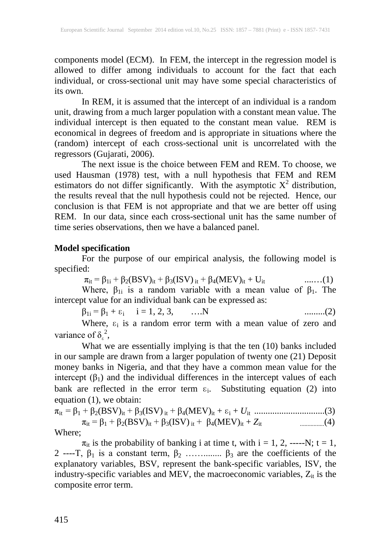components model (ECM). In FEM, the intercept in the regression model is allowed to differ among individuals to account for the fact that each individual, or cross-sectional unit may have some special characteristics of its own.

In REM, it is assumed that the intercept of an individual is a random unit, drawing from a much larger population with a constant mean value. The individual intercept is then equated to the constant mean value. REM is economical in degrees of freedom and is appropriate in situations where the (random) intercept of each cross-sectional unit is uncorrelated with the regressors (Gujarati, 2006).

The next issue is the choice between FEM and REM. To choose, we used Hausman (1978) test, with a null hypothesis that FEM and REM estimators do not differ significantly. With the asymptotic  $X^2$  distribution, the results reveal that the null hypothesis could not be rejected. Hence, our conclusion is that FEM is not appropriate and that we are better off using REM. In our data, since each cross-sectional unit has the same number of time series observations, then we have a balanced panel.

## **Model specification**

For the purpose of our empirical analysis, the following model is specified:

 $\pi_{it} = \beta_{1i} + \beta_2(BSV)_{it} + \beta_3(ISV)_{it} + \beta_4(MEV)_{it} + U_{it}$  .......(1)

Where,  $\beta_{1i}$  is a random variable with a mean value of  $\beta_1$ . The intercept value for an individual bank can be expressed as:

β1i = β<sup>1</sup> + ɛ<sup>i</sup> i = 1, 2, 3, ….N .........(2)

Where,  $\varepsilon_i$  is a random error term with a mean value of zero and variance of  $\delta_{\epsilon}^2$ ,

What we are essentially implying is that the ten (10) banks included in our sample are drawn from a larger population of twenty one (21) Deposit money banks in Nigeria, and that they have a common mean value for the intercept  $(\beta_1)$  and the individual differences in the intercept values of each bank are reflected in the error term  $\varepsilon_i$ . Substituting equation (2) into equation (1), we obtain:

πit = β<sup>1</sup> + β2(BSV)it + β3(ISV) it + β4(MEV)it + ɛ<sup>i</sup> + *U*it ...............................(3) πit = β<sup>1</sup> + β2(BSV)it + β3(ISV) it + β4(MEV)it + *Z*it ................(4)

Where;

 $\pi_{it}$  is the probability of banking i at time t, with i = 1, 2, -----N; t = 1, 2 ----T,  $\beta_1$  is a constant term,  $\beta_2$  ……...........  $\beta_3$  are the coefficients of the explanatory variables, BSV, represent the bank-specific variables, ISV, the industry-specific variables and MEV, the macroeconomic variables,  $Z_{it}$  is the composite error term.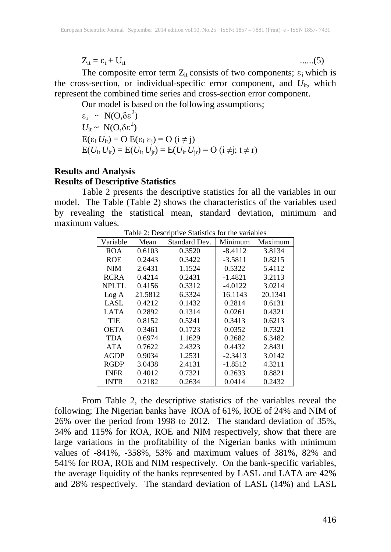$Z_{it} = \varepsilon_i + U_{it}$  .......(5)

The composite error term  $Z_{it}$  consists of two components;  $\varepsilon_i$  which is the cross-section, or individual-specific error component, and  $U_{it}$ , which represent the combined time series and cross-section error component.

Our model is based on the following assumptions;

 $\varepsilon_i \sim N(O, \delta \varepsilon^2)$  $U_{\text{it}} \sim \text{N}(\text{O},\delta \epsilon^2)$  $E(\varepsilon_i U_{it}) = O E(\varepsilon_i \varepsilon_i) = O (i \neq j)$  $E(U_{it} U_{ir}) = E(U_{it} U_{it}) = E(U_{it} U_{ir}) = O (i \neq i; t \neq r)$ 

## **Results and Analysis Results of Descriptive Statistics**

Table 2 presents the descriptive statistics for all the variables in our model. The Table (Table 2) shows the characteristics of the variables used by revealing the statistical mean, standard deviation, minimum and maximum values.

| Variable     | Mean    | Standard Dev. | Minimum   | Maximum |
|--------------|---------|---------------|-----------|---------|
| <b>ROA</b>   | 0.6103  | 0.3520        | $-8.4112$ | 3.8134  |
| <b>ROE</b>   | 0.2443  | 0.3422        | $-3.5811$ | 0.8215  |
| <b>NIM</b>   | 2.6431  | 1.1524        | 0.5322    | 5.4112  |
| <b>RCRA</b>  | 0.4214  | 0.2431        | $-1.4821$ | 3.2113  |
| <b>NPLTL</b> | 0.4156  | 0.3312        | $-4.0122$ | 3.0214  |
| Log A        | 21.5812 | 6.3324        | 16.1143   | 20.1341 |
| LASL         | 0.4212  | 0.1432        | 0.2814    | 0.6131  |
| <b>LATA</b>  | 0.2892  | 0.1314        | 0.0261    | 0.4321  |
| TIE          | 0.8152  | 0.5241        | 0.3413    | 0.6213  |
| <b>OETA</b>  | 0.3461  | 0.1723        | 0.0352    | 0.7321  |
| <b>TDA</b>   | 0.6974  | 1.1629        | 0.2682    | 6.3482  |
| <b>ATA</b>   | 0.7622  | 2.4323        | 0.4432    | 2.8431  |
| <b>AGDP</b>  | 0.9034  | 1.2531        | $-2.3413$ | 3.0142  |
| <b>RGDP</b>  | 3.0438  | 2.4131        | $-1.8512$ | 4.3211  |
| <b>INFR</b>  | 0.4012  | 0.7321        | 0.2633    | 0.8821  |
| <b>INTR</b>  | 0.2182  | 0.2634        | 0.0414    | 0.2432  |

Table 2: Descriptive Statistics for the variables

From Table 2, the descriptive statistics of the variables reveal the following; The Nigerian banks have ROA of 61%, ROE of 24% and NIM of 26% over the period from 1998 to 2012. The standard deviation of 35%, 34% and 115% for ROA, ROE and NIM respectively, show that there are large variations in the profitability of the Nigerian banks with minimum values of -841%, -358%, 53% and maximum values of 381%, 82% and 541% for ROA, ROE and NIM respectively. On the bank-specific variables, the average liquidity of the banks represented by LASL and LATA are 42% and 28% respectively. The standard deviation of LASL (14%) and LASL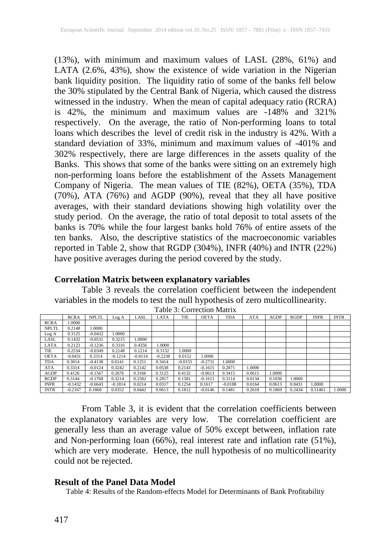(13%), with minimum and maximum values of LASL (28%, 61%) and LATA (2.6%, 43%), show the existence of wide variation in the Nigerian bank liquidity position. The liquidity ratio of some of the banks fell below the 30% stipulated by the Central Bank of Nigeria, which caused the distress witnessed in the industry. When the mean of capital adequacy ratio (RCRA) is 42%, the minimum and maximum values are -148% and 321% respectively. On the average, the ratio of Non-performing loans to total loans which describes the level of credit risk in the industry is 42%. With a standard deviation of 33%, minimum and maximum values of -401% and 302% respectively, there are large differences in the assets quality of the Banks. This shows that some of the banks were sitting on an extremely high non-performing loans before the establishment of the Assets Management Company of Nigeria. The mean values of TIE (82%), OETA (35%), TDA (70%), ATA (76%) and AGDP (90%), reveal that they all have positive averages, with their standard deviations showing high volatility over the study period. On the average, the ratio of total deposit to total assets of the banks is 70% while the four largest banks hold 76% of entire assets of the ten banks. Also, the descriptive statistics of the macroeconomic variables reported in Table 2, show that RGDP (304%), INFR (40%) and INTR (22%) have positive averages during the period covered by the study.

## **Correlation Matrix between explanatory variables**

Table 3 reveals the correlation coefficient between the independent variables in the models to test the null hypothesis of zero multicollinearity.

|              | <b>RCRA</b> | <b>NPLTL</b> | Log A     | LASL      | LATA      | TIE       | <b>OETA</b> | TDA       | ATA    | AGDP   | <b>RGDP</b> | <b>INFR</b> | <b>INTR</b> |
|--------------|-------------|--------------|-----------|-----------|-----------|-----------|-------------|-----------|--------|--------|-------------|-------------|-------------|
| <b>RCRA</b>  | 1.0000      |              |           |           |           |           |             |           |        |        |             |             |             |
| <b>NPLTL</b> | 0.2148      | 1.0000       |           |           |           |           |             |           |        |        |             |             |             |
| Log A        | 0.3125      | $-0.0432$    | 0000.1    |           |           |           |             |           |        |        |             |             |             |
| LASL         | 0.1432      | $-0.0531$    | 0.3215    | 1.0000    |           |           |             |           |        |        |             |             |             |
| LATA         | 0.2123      | $-0.1236$    | 0.3316    | 0.4356    | 1.0000    |           |             |           |        |        |             |             |             |
| TIE          | 0.2534      | $-0.0349$    | 0.2148    | 0.1214    | 0.3132    | 1.0000    |             |           |        |        |             |             |             |
| <b>OETA</b>  | $-0.0431$   | 0.3314       | $-0.1214$ | $-0.0114$ | $-0.2238$ | 0.0152    | 1.0000      |           |        |        |             |             |             |
| <b>TDA</b>   | 0.3014      | $-0.4138$    | 0.0141    | 0.1251    | 0.3414    | $-0.0155$ | $-0.2731$   | 1.0000    |        |        |             |             |             |
| ATA          | 0.3314      | $-0.0124$    | 0.3242    | 0.2142    | 0.0538    | 0.2143    | $-0.1615$   | 0.2871    | 1.0000 |        |             |             |             |
| <b>AGDP</b>  | 0.4126      | $-0.1567$    | 0.2676    | 0.3166    | 0.3125    | 0.4132    | $-0.0613$   | 0.3415    | 0.0615 | .0000  |             |             |             |
| <b>RGDP</b>  | 0.3144      | $-0.1768$    | 0.3214    | 0.2582    | 0.2817    | 0.1581    | $-0.1613$   | 0.3114    | 0.0134 | 0.1036 | .0000       |             |             |
| <b>INFR</b>  | $-0.1432$   | $-0.6643$    | $-0.1814$ | 0.0214    | 0.0317    | 0.1254    | 0.1617      | $-0.0188$ | 0.0164 | 0.0613 | 0.0431      | 0000.       |             |
| <b>INTR</b>  | $-0.2167$   | 0.1868       | 0.0352    | 0.0442    | 0.0613    | 0.1812    | $-0.0146$   | 0.1481    | 0.2618 | 0.1869 | 0.2434      | 0.51461     | 1.0000      |

Table 3: Correction Matrix

From Table 3, it is evident that the correlation coefficients between the explanatory variables are very low. The correlation coefficient are generally less than an average value of 50% except between, inflation rate and Non-performing loan (66%), real interest rate and inflation rate (51%), which are very moderate. Hence, the null hypothesis of no multicollinearity could not be rejected.

## **Result of the Panel Data Model**

Table 4: Results of the Random-effects Model for Determinants of Bank Profitability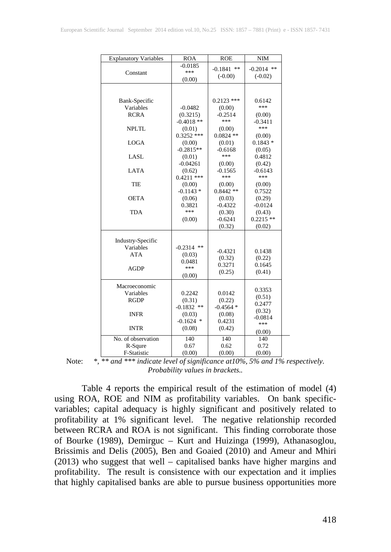| <b>Explanatory Variables</b>   | <b>ROA</b>             | <b>ROE</b>           | NIM          |
|--------------------------------|------------------------|----------------------|--------------|
|                                | $-0.0185$              | $-0.1841$ **         | $-0.2014$ ** |
| Constant                       | ***                    | $(-0.00)$            | $(-0.02)$    |
|                                | (0.00)                 |                      |              |
|                                |                        |                      |              |
| Bank-Specific                  |                        | $0.2123$ ***         | 0.6142       |
| Variables                      | $-0.0482$              | (0.00)               | ***          |
| <b>RCRA</b>                    | (0.3215)               | $-0.2514$            | (0.00)       |
|                                | $-0.4018$ **           | ***                  | $-0.3411$    |
| <b>NPLTL</b>                   | (0.01)                 | (0.00)               | ***          |
|                                | $0.3252$ ***           | $0.0824$ **          | (0.00)       |
| <b>LOGA</b>                    | (0.00)                 | (0.01)               | $0.1843*$    |
|                                | $-0.2815**$            | $-0.6168$            | (0.05)       |
| LASL                           | (0.01)                 | ***                  | 0.4812       |
|                                | $-0.04261$             | (0.00)               | (0.42)       |
| <b>LATA</b>                    | (0.62)                 | $-0.1565$            | $-0.6143$    |
|                                | $0.4211$ ***           | ***                  | ***          |
| TIE                            | (0.00)                 | (0.00)               | (0.00)       |
|                                | $-0.1143*$             | $0.8442**$           | 0.7522       |
| <b>OETA</b>                    | (0.06)                 | (0.03)               | (0.29)       |
|                                | 0.3821                 | $-0.4322$            | $-0.0124$    |
| <b>TDA</b>                     | ***                    | (0.30)               | (0.43)       |
|                                | (0.00)                 | $-0.6241$            | $0.2215**$   |
|                                |                        | (0.32)               | (0.02)       |
|                                |                        |                      |              |
| Industry-Specific<br>Variables | $-0.2314$ **           |                      |              |
| <b>ATA</b>                     | (0.03)                 | $-0.4321$            | 0.1438       |
|                                | 0.0481                 | (0.32)               | (0.22)       |
| AGDP                           | $***$                  | 0.3271               | 0.1645       |
|                                | (0.00)                 | (0.25)               | (0.41)       |
|                                |                        |                      |              |
| Macroeconomic                  |                        |                      | 0.3353       |
| Variables                      | 0.2242                 | 0.0142               | (0.51)       |
| <b>RGDP</b>                    | (0.31)<br>$-0.1832$ ** | (0.22)<br>$-0.4564*$ | 0.2477       |
| <b>INFR</b>                    | (0.03)                 | (0.08)               | (0.32)       |
|                                | $-0.1624$ *            | 0.4231               | $-0.0814$    |
| <b>INTR</b>                    | (0.08)                 | (0.42)               | ***          |
|                                |                        |                      | (0.00)       |
| No. of observation             | 140                    | 140                  | 140          |
| R-Squre                        | 0.67                   | 0.62                 | 0.72         |
| F-Statistic                    | (0.00)                 | (0.00)               | (0.00)       |

Note: *\*, \*\* and \*\*\* indicate level of significance at10%, 5% and 1% respectively. Probability values in brackets..*

Table 4 reports the empirical result of the estimation of model (4) using ROA, ROE and NIM as profitability variables. On bank specificvariables; capital adequacy is highly significant and positively related to profitability at 1% significant level. The negative relationship recorded between RCRA and ROA is not significant. This finding corroborate those of Bourke (1989), Demirguc – Kurt and Huizinga (1999), Athanasoglou, Brissimis and Delis (2005), Ben and Goaied (2010) and Ameur and Mhiri (2013) who suggest that well – capitalised banks have higher margins and profitability. The result is consistence with our expectation and it implies that highly capitalised banks are able to pursue business opportunities more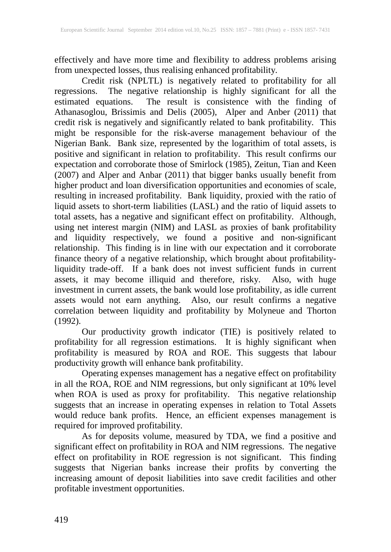effectively and have more time and flexibility to address problems arising from unexpected losses, thus realising enhanced profitability.

Credit risk (NPLTL) is negatively related to profitability for all regressions. The negative relationship is highly significant for all the estimated equations. The result is consistence with the finding of estimated equations. The result is consistence with the finding of Athanasoglou, Brissimis and Delis (2005), Alper and Anber (2011) that credit risk is negatively and significantly related to bank profitability. This might be responsible for the risk-averse management behaviour of the Nigerian Bank. Bank size, represented by the logarithim of total assets, is positive and significant in relation to profitability. This result confirms our expectation and corroborate those of Smirlock (1985), Zeitun, Tian and Keen (2007) and Alper and Anbar (2011) that bigger banks usually benefit from higher product and loan diversification opportunities and economies of scale, resulting in increased profitability. Bank liquidity, proxied with the ratio of liquid assets to short-term liabilities (LASL) and the ratio of liquid assets to total assets, has a negative and significant effect on profitability. Although, using net interest margin (NIM) and LASL as proxies of bank profitability and liquidity respectively, we found a positive and non-significant relationship. This finding is in line with our expectation and it corroborate finance theory of a negative relationship, which brought about profitabilityliquidity trade-off. If a bank does not invest sufficient funds in current assets, it may become illiquid and therefore, risky. Also, with huge investment in current assets, the bank would lose profitability, as idle current assets would not earn anything. Also, our result confirms a negative correlation between liquidity and profitability by Molyneue and Thorton (1992).

Our productivity growth indicator (TIE) is positively related to profitability for all regression estimations. It is highly significant when profitability is measured by ROA and ROE. This suggests that labour productivity growth will enhance bank profitability.

Operating expenses management has a negative effect on profitability in all the ROA, ROE and NIM regressions, but only significant at 10% level when ROA is used as proxy for profitability. This negative relationship suggests that an increase in operating expenses in relation to Total Assets would reduce bank profits. Hence, an efficient expenses management is required for improved profitability.

As for deposits volume, measured by TDA, we find a positive and significant effect on profitability in ROA and NIM regressions. The negative effect on profitability in ROE regression is not significant. This finding suggests that Nigerian banks increase their profits by converting the increasing amount of deposit liabilities into save credit facilities and other profitable investment opportunities.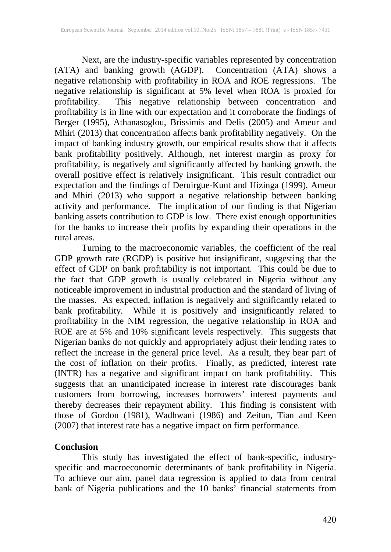Next, are the industry-specific variables represented by concentration (ATA) and banking growth (AGDP). Concentration (ATA) shows a negative relationship with profitability in ROA and ROE regressions. The negative relationship is significant at 5% level when ROA is proxied for profitability. This negative relationship between concentration and profitability is in line with our expectation and it corroborate the findings of Berger (1995), Athanasoglou, Brissimis and Delis (2005) and Ameur and Mhiri (2013) that concentration affects bank profitability negatively. On the impact of banking industry growth, our empirical results show that it affects bank profitability positively. Although, net interest margin as proxy for profitability, is negatively and significantly affected by banking growth, the overall positive effect is relatively insignificant. This result contradict our expectation and the findings of Deruirgue-Kunt and Hizinga (1999), Ameur and Mhiri (2013) who support a negative relationship between banking activity and performance. The implication of our finding is that Nigerian banking assets contribution to GDP is low. There exist enough opportunities for the banks to increase their profits by expanding their operations in the rural areas.

Turning to the macroeconomic variables, the coefficient of the real GDP growth rate (RGDP) is positive but insignificant, suggesting that the effect of GDP on bank profitability is not important. This could be due to the fact that GDP growth is usually celebrated in Nigeria without any noticeable improvement in industrial production and the standard of living of the masses. As expected, inflation is negatively and significantly related to bank profitability. While it is positively and insignificantly related to profitability in the NIM regression, the negative relationship in ROA and ROE are at 5% and 10% significant levels respectively. This suggests that Nigerian banks do not quickly and appropriately adjust their lending rates to reflect the increase in the general price level. As a result, they bear part of the cost of inflation on their profits. Finally, as predicted, interest rate (INTR) has a negative and significant impact on bank profitability. This suggests that an unanticipated increase in interest rate discourages bank customers from borrowing, increases borrowers' interest payments and thereby decreases their repayment ability. This finding is consistent with those of Gordon (1981), Wadhwani (1986) and Zeitun, Tian and Keen (2007) that interest rate has a negative impact on firm performance.

## **Conclusion**

This study has investigated the effect of bank-specific, industryspecific and macroeconomic determinants of bank profitability in Nigeria. To achieve our aim, panel data regression is applied to data from central bank of Nigeria publications and the 10 banks' financial statements from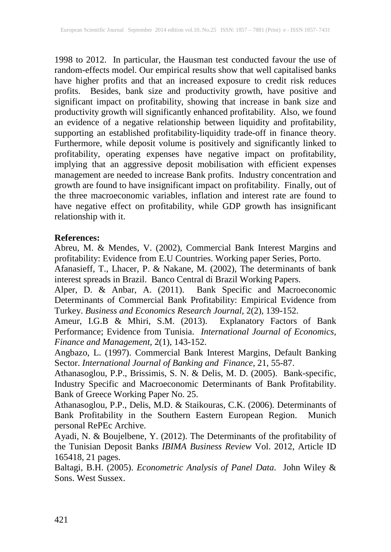1998 to 2012. In particular, the Hausman test conducted favour the use of random-effects model. Our empirical results show that well capitalised banks have higher profits and that an increased exposure to credit risk reduces profits. Besides, bank size and productivity growth, have positive and significant impact on profitability, showing that increase in bank size and productivity growth will significantly enhanced profitability. Also, we found an evidence of a negative relationship between liquidity and profitability, supporting an established profitability-liquidity trade-off in finance theory. Furthermore, while deposit volume is positively and significantly linked to profitability, operating expenses have negative impact on profitability, implying that an aggressive deposit mobilisation with efficient expenses management are needed to increase Bank profits. Industry concentration and growth are found to have insignificant impact on profitability. Finally, out of the three macroeconomic variables, inflation and interest rate are found to have negative effect on profitability, while GDP growth has insignificant relationship with it.

#### **References:**

Abreu, M. & Mendes, V. (2002), Commercial Bank Interest Margins and profitability: Evidence from E.U Countries. Working paper Series, Porto.

Afanasieff, T., Lhacer, P. & Nakane, M. (2002), The determinants of bank interest spreads in Brazil. Banco Central di Brazil Working Papers.

Alper, D. & Anbar, A. (2011). Bank Specific and Macroeconomic Determinants of Commercial Bank Profitability: Empirical Evidence from Turkey. *Business and Economics Research Journal,* 2(2), 139-152.

Ameur, I.G.B & Mhiri, S.M. (2013). Explanatory Factors of Bank Performance; Evidence from Tunisia. *International Journal of Economics, Finance and Management,* 2(1), 143-152.

Angbazo, L. (1997). Commercial Bank Interest Margins, Default Banking Sector. *International Journal of Banking and Finance,* 21, 55-87.

Athanasoglou, P.P., Brissimis, S. N. & Delis, M. D. (2005). Bank-specific, Industry Specific and Macroeconomic Determinants of Bank Profitability. Bank of Greece Working Paper No. 25.

Athanasoglou, P.P., Delis, M.D. & Staikouras, C.K. (2006). Determinants of Bank Profitability in the Southern Eastern European Region. Munich personal RePEc Archive.

Ayadi, N. & Boujelbene, Y. (2012). The Determinants of the profitability of the Tunisian Deposit Banks *IBIMA Business Review* Vol. 2012, Article ID 165418, 21 pages.

Baltagi, B.H. (2005). *Econometric Analysis of Panel Data*. John Wiley & Sons. West Sussex.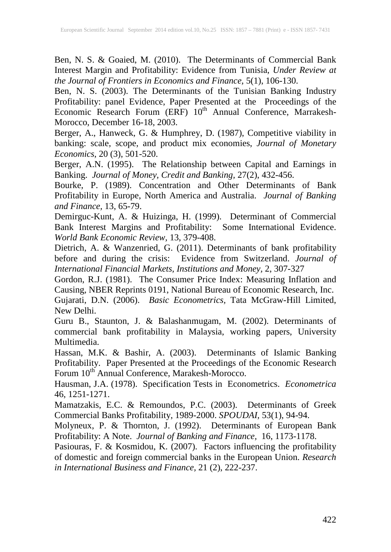Ben, N. S. & Goaied, M. (2010). The Determinants of Commercial Bank Interest Margin and Profitability: Evidence from Tunisia, *Under Review at the Journal of Frontiers in Economics and Finance,* 5(1), 106-130.

Ben, N. S. (2003). The Determinants of the Tunisian Banking Industry Profitability: panel Evidence, Paper Presented at the Proceedings of the Economic Research Forum (ERF) 10<sup>th</sup> Annual Conference, Marrakesh-Morocco, December 16-18, 2003.

Berger, A., Hanweck, G. & Humphrey, D. (1987), Competitive viability in banking: scale, scope, and product mix economies, *Journal of Monetary Economics*, 20 (3), 501-520.

Berger, A.N. (1995). The Relationship between Capital and Earnings in Banking. *Journal of Money, Credit and Banking,* 27(2), 432-456.

Bourke, P. (1989). Concentration and Other Determinants of Bank Profitability in Europe, North America and Australia. *Journal of Banking and Finance,* 13, 65-79.

Demirguc-Kunt, A. & Huizinga, H. (1999). Determinant of Commercial Bank Interest Margins and Profitability: Some International Evidence. *World Bank Economic Review,* 13, 379-408.

Dietrich, A. & Wanzenried, G. (2011). Determinants of bank profitability before and during the crisis: Evidence from Switzerland. *Journal of International Financial Markets, Institutions and Money,* 2, 307-327

Gordon, R.J. (1981). The Consumer Price Index: Measuring Inflation and Causing, NBER Reprints 0191, National Bureau of Economic Research, Inc.

Gujarati, D.N. (2006). *Basic Econometrics,* Tata McGraw-Hill Limited, New Delhi.

Guru B., Staunton, J. & Balashanmugam, M. (2002). Determinants of commercial bank profitability in Malaysia, working papers, University Multimedia.

Hassan, M.K. & Bashir, A. (2003). Determinants of Islamic Banking Profitability. Paper Presented at the Proceedings of the Economic Research Forum 10<sup>th</sup> Annual Conference, Marakesh-Morocco.

Hausman, J.A. (1978). Specification Tests in Econometrics. *Econometrica* 46, 1251-1271.

Mamatzakis, E.C. & Remoundos, P.C. (2003). Determinants of Greek Commercial Banks Profitability, 1989-2000. *SPOUDAI,* 53(1), 94-94.

Molyneux, P. & Thornton, J. (1992). Determinants of European Bank Profitability: A Note. *Journal of Banking and Finance,* 16, 1173-1178.

Pasiouras, F. & Kosmidou, K. (2007). Factors influencing the profitability of domestic and foreign commercial banks in the European Union. *Research in International Business and Finance,* 21 (2), 222-237.